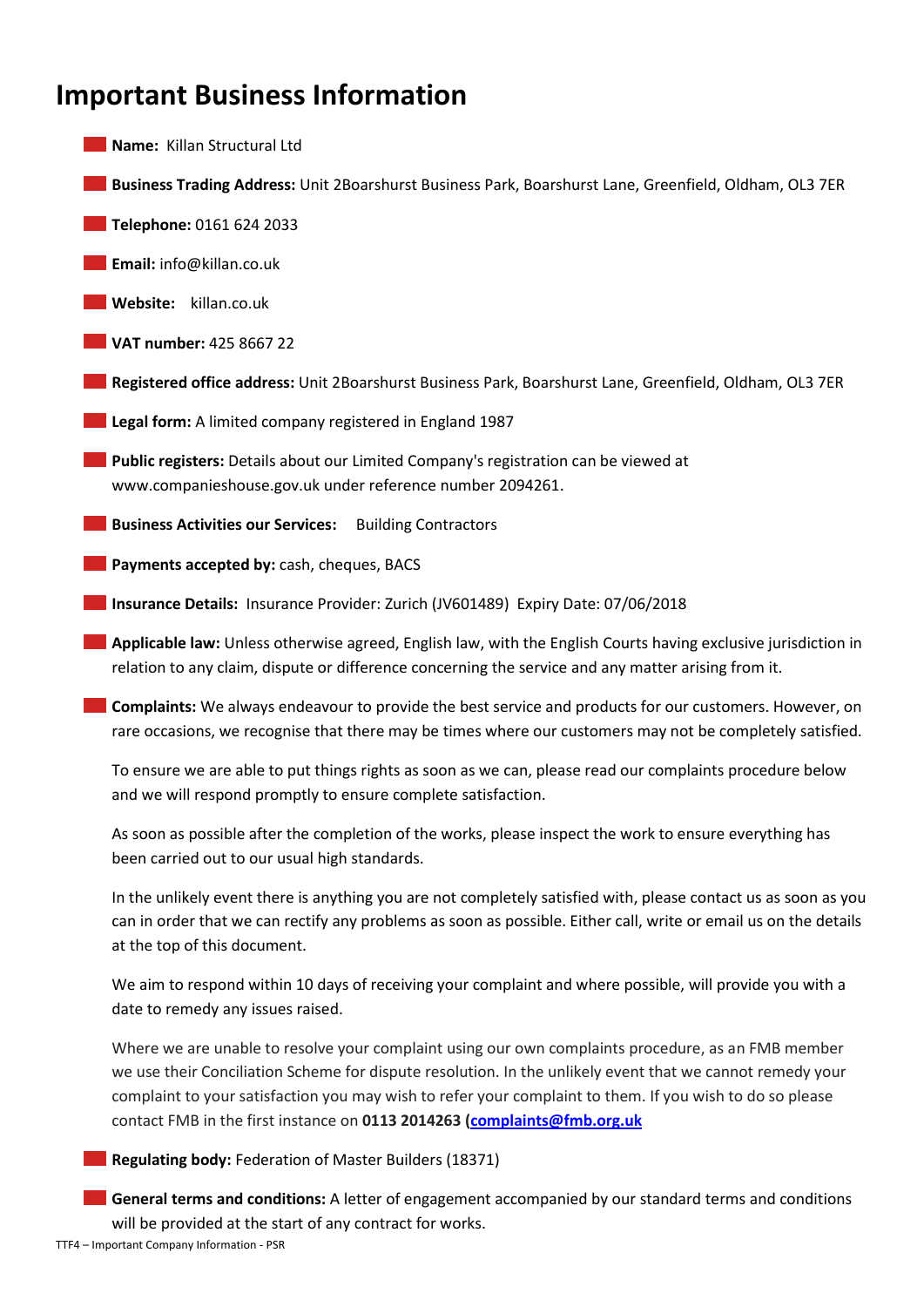# **Important Business Information**

- **Name:** Killan Structural Ltd
- **Business Trading Address:** Unit 2Boarshurst Business Park, Boarshurst Lane, Greenfield, Oldham, OL3 7ER
- **Telephone:** 0161 624 2033
- **Email:** info@killan.co.uk
- **Website:** killan.co.uk
- **VAT number:** 425 8667 22
- **Registered office address:** Unit 2Boarshurst Business Park, Boarshurst Lane, Greenfield, Oldham, OL3 7ER
- **Legal form:** A limited company registered in England 1987
- **Public registers:** Details about our Limited Company's registration can be viewed at www.companieshouse.gov.uk under reference number 2094261.
- **Business Activities our Services:** Building Contractors
- **Payments accepted by:** cash, cheques, BACS
- **Insurance Details:** Insurance Provider: Zurich (JV601489) Expiry Date: 07/06/2018
- **Applicable law:** Unless otherwise agreed, English law, with the English Courts having exclusive jurisdiction in relation to any claim, dispute or difference concerning the service and any matter arising from it.
- **Complaints:** We always endeavour to provide the best service and products for our customers. However, on rare occasions, we recognise that there may be times where our customers may not be completely satisfied.
	- To ensure we are able to put things rights as soon as we can, please read our complaints procedure below and we will respond promptly to ensure complete satisfaction.
	- As soon as possible after the completion of the works, please inspect the work to ensure everything has been carried out to our usual high standards.
	- In the unlikely event there is anything you are not completely satisfied with, please contact us as soon as you can in order that we can rectify any problems as soon as possible. Either call, write or email us on the details at the top of this document.
	- We aim to respond within 10 days of receiving your complaint and where possible, will provide you with a date to remedy any issues raised.
	- Where we are unable to resolve your complaint using our own complaints procedure, as an FMB member we use their Conciliation Scheme for dispute resolution. In the unlikely event that we cannot remedy your complaint to your satisfaction you may wish to refer your complaint to them. If you wish to do so please contact FMB in the first instance on **0113 2014263 [\(complaints@fmb.org.uk](mailto:complaints@fmb.org.uk)**
- **Regulating body:** Federation of Master Builders (18371)
- **General terms and conditions:** A letter of engagement accompanied by our standard terms and conditions will be provided at the start of any contract for works.